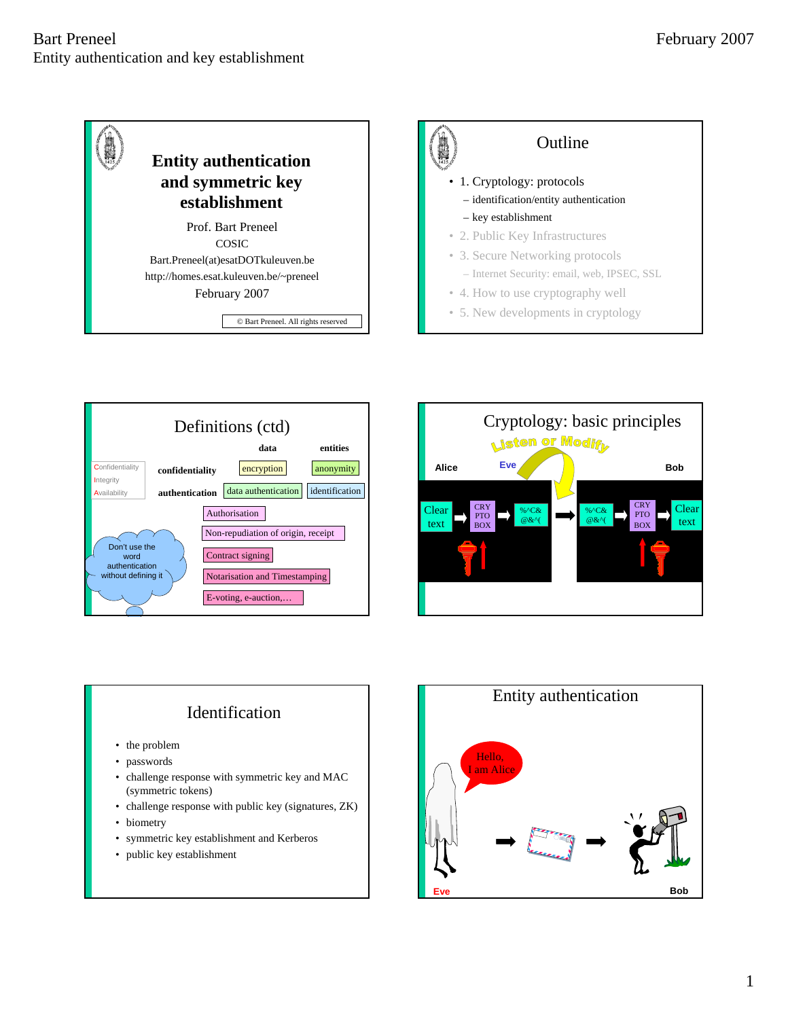







## Identification

- the problem
- passwords
- challenge response with symmetric key and MAC (symmetric tokens)
- challenge response with public key (signatures, ZK)
- biometry
- symmetric key establishment and Kerberos
- public key establishment

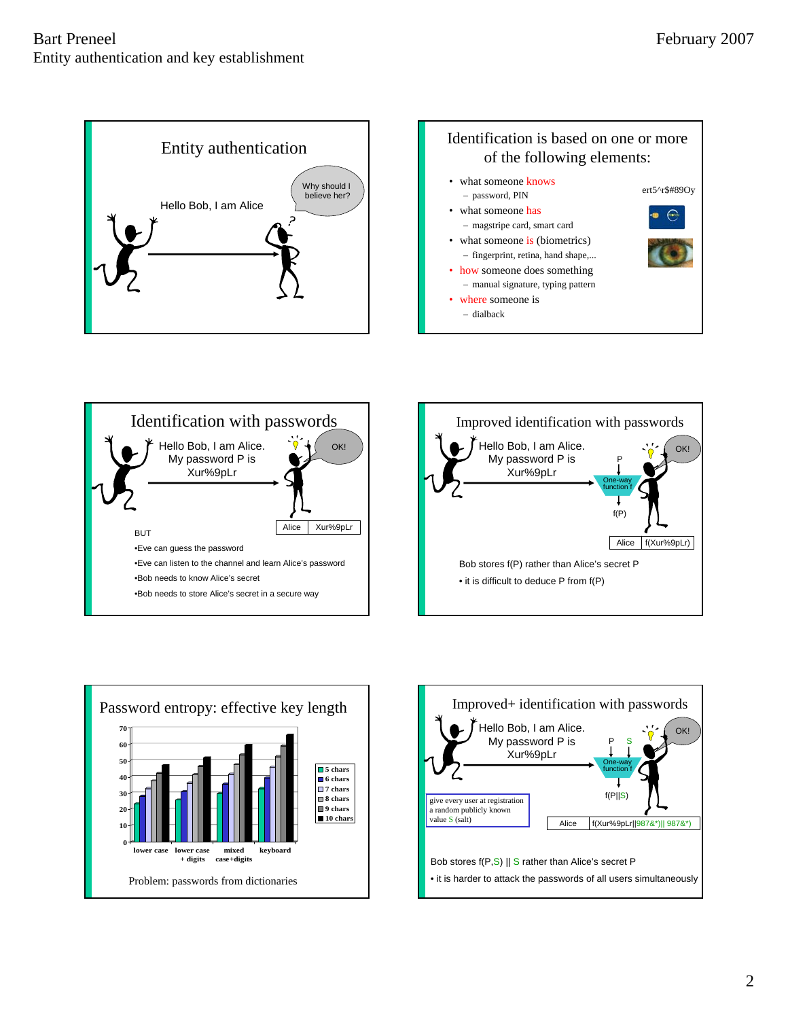









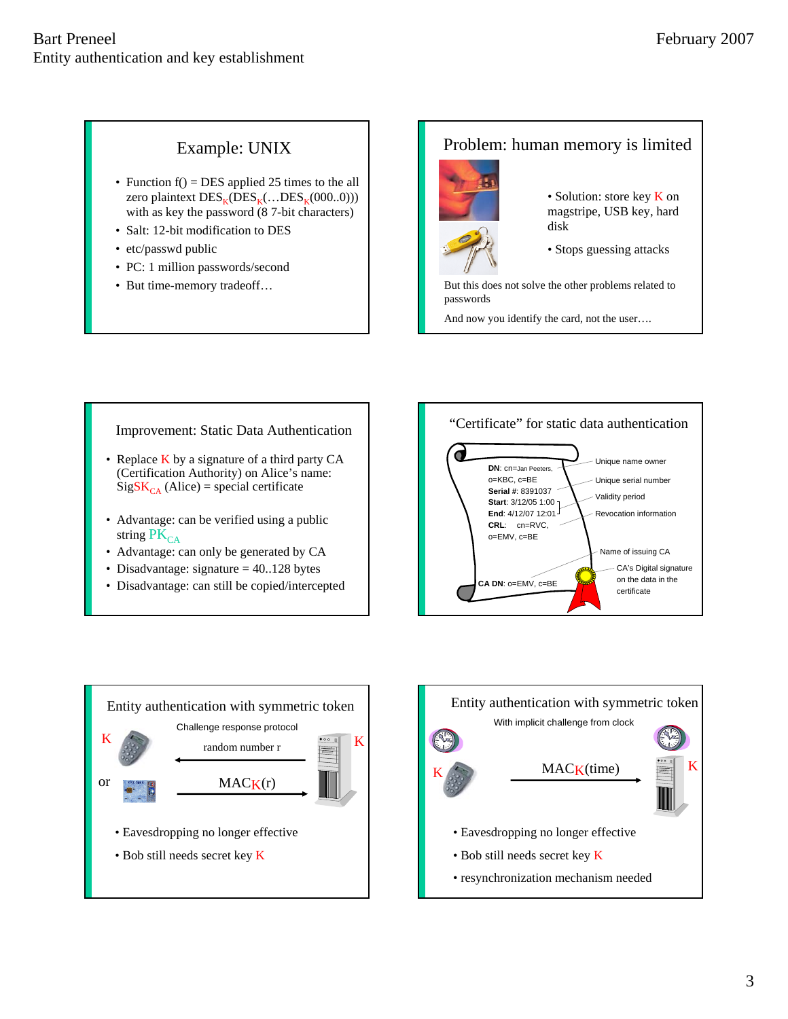## Example: UNIX

- Function  $f() = DES$  applied 25 times to the all zero plaintext  $DES_K(DES_K(...DES_K(000..0)))$ with as key the password (8 7-bit characters)
- Salt: 12-bit modification to DES
- etc/passwd public
- PC: 1 million passwords/second
- But time-memory tradeoff…

#### Problem: human memory is limited



- Solution: store key **K** on magstripe, USB key, hard disk
- Stops guessing attacks

But this does not solve the other problems related to passwords

And now you identify the card, not the user….

#### Improvement: Static Data Authentication

- Replace K by a signature of a third party CA (Certification Authority) on Alice's name:  $SigSK_{CA}$  (Alice) = special certificate
- Advantage: can be verified using a public string  $PK_{CA}$
- Advantage: can only be generated by CA
- Disadvantage: signature  $= 40.128$  bytes
- Disadvantage: can still be copied/intercepted





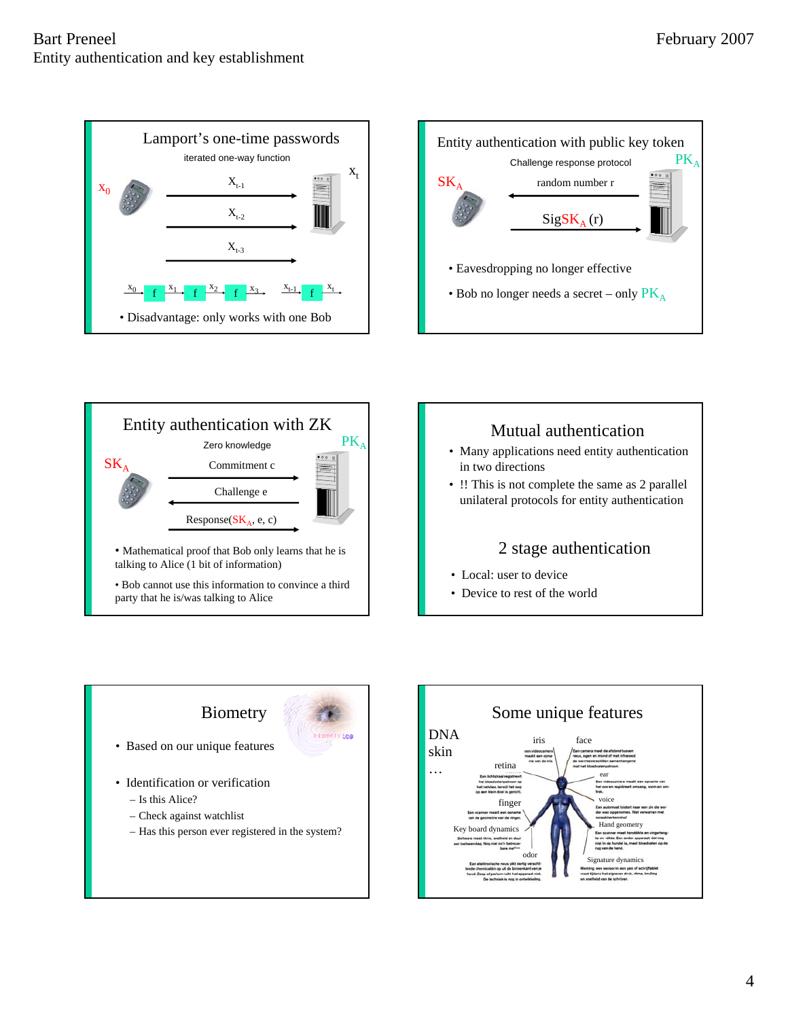









– Has this person ever registered in the system?

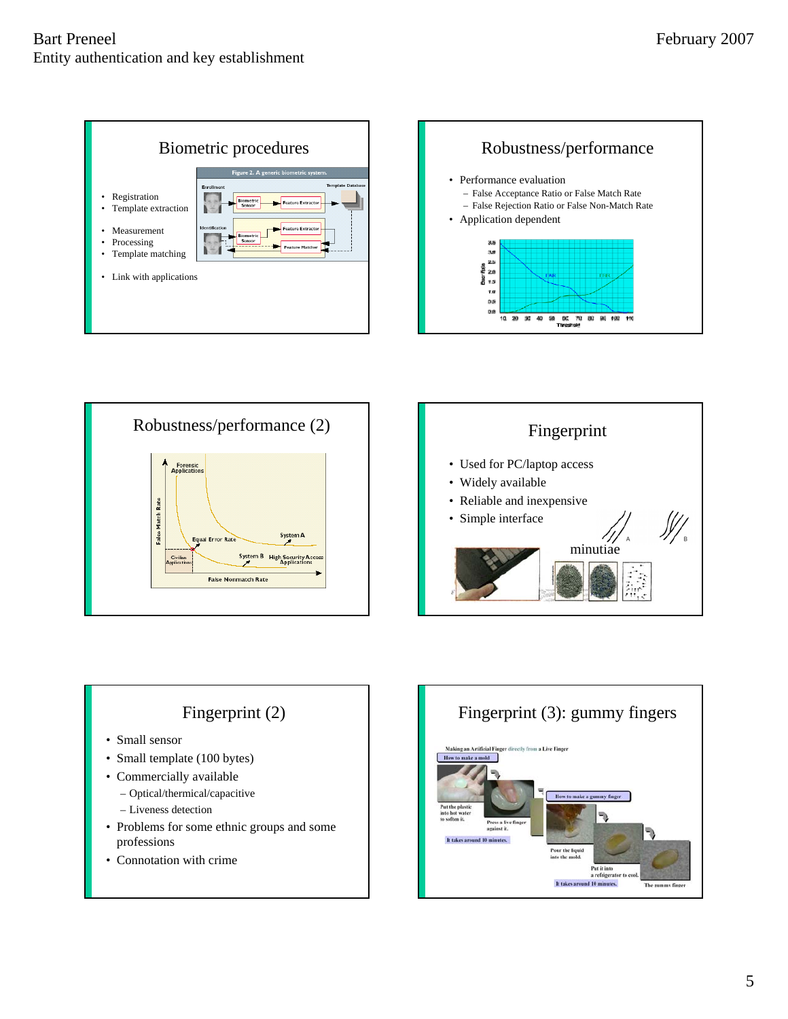







# Fingerprint (2)

- Small sensor
- Small template (100 bytes)
- Commercially available
	- Optical/thermical/capacitive
	- Liveness detection
- Problems for some ethnic groups and some professions
- Connotation with crime

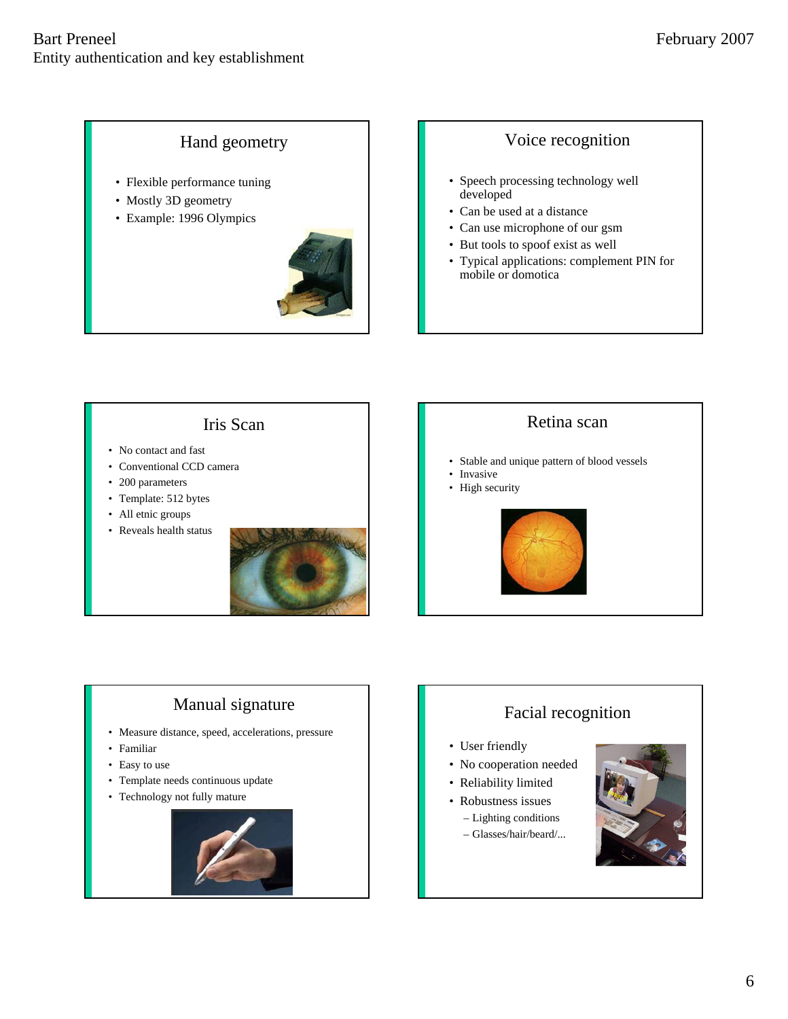### Hand geometry

- Flexible performance tuning
- Mostly 3D geometry
- Example: 1996 Olympics



#### Voice recognition

- Speech processing technology well developed
- Can be used at a distance
- Can use microphone of our gsm
- But tools to spoof exist as well
- Typical applications: complement PIN for mobile or domotica

Iris Scan

- No contact and fast
- Conventional CCD camera
- 200 parameters
- Template: 512 bytes
- All etnic groups
- Reveals health status



#### Retina scan

- Stable and unique pattern of blood vessels
- Invasive
- High security



## Manual signature

- Measure distance, speed, accelerations, pressure
- Familiar
- Easy to use
- Template needs continuous update
- Technology not fully mature



## Facial recognition

- User friendly
- No cooperation needed
- Reliability limited
- Robustness issues
	- Lighting conditions
	- Glasses/hair/beard/...

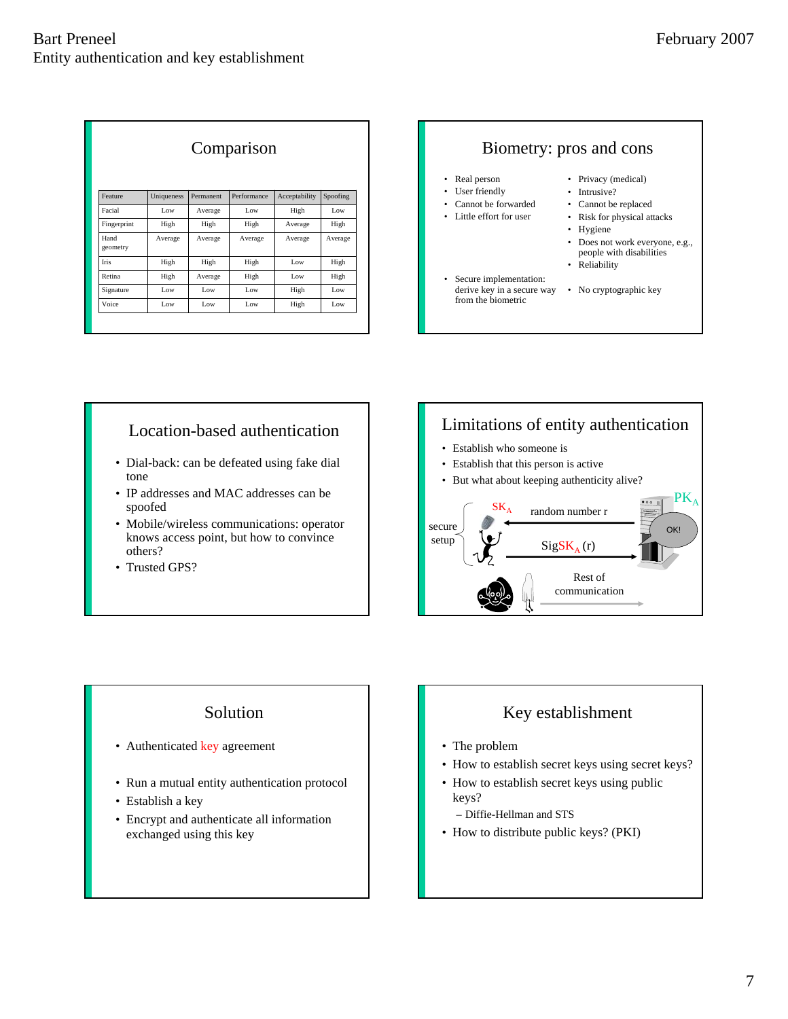| Comparison       |            |           |             |               |          |
|------------------|------------|-----------|-------------|---------------|----------|
| Feature          | Uniqueness | Permanent | Performance | Acceptability | Spoofing |
| Facial           | Low        | Average   | Low         | High          | Low      |
| Fingerprint      | High       | High      | High        | Average       | High     |
| Hand<br>geometry | Average    | Average   | Average     | Average       | Average  |
| Iris             | High       | High      | High        | Low           | High     |
| Retina           | High       | Average   | High        | Low           | High     |
| Signature        | Low        | Low       | Low         | High          | Low      |
| Voice            | Low        | Low       | Low         | High          | Low      |



### Location-based authentication

- Dial-back: can be defeated using fake dial tone
- IP addresses and MAC addresses can be spoofed
- Mobile/wireless communications: operator knows access point, but how to convince others?
- Trusted GPS?

### Limitations of entity authentication • Establish who someone is • Establish that this person is active

• But what about keeping authenticity alive?



### Solution

- Authenticated key agreement
- Run a mutual entity authentication protocol
- Establish a key
- Encrypt and authenticate all information exchanged using this key

### Key establishment

- The problem
- How to establish secret keys using secret keys?
- How to establish secret keys using public keys?
	- Diffie-Hellman and STS
- How to distribute public keys? (PKI)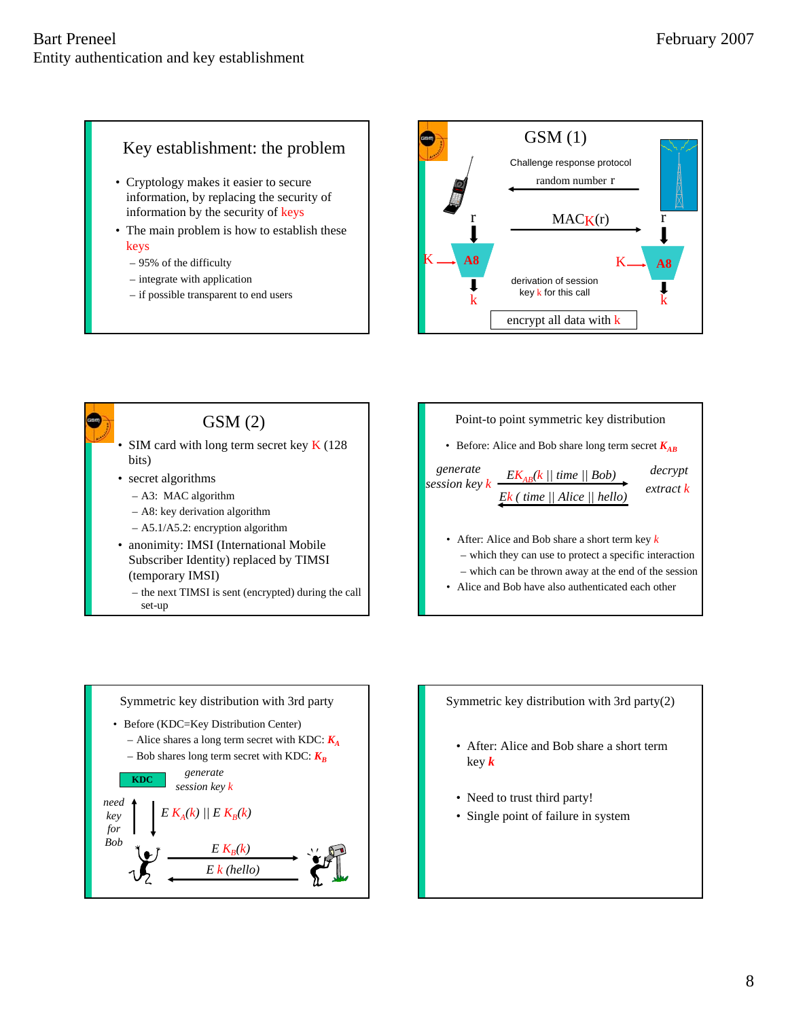### Key establishment: the problem

- Cryptology makes it easier to secure information, by replacing the security of information by the security of keys
- The main problem is how to establish these keys
	- 95% of the difficulty
	- integrate with application
	- if possible transparent to end users





(temporary IMSI)

– the next TIMSI is sent (encrypted) during the call set-up





Symmetric key distribution with 3rd party(2)

- After: Alice and Bob share a short term key *k*
- Need to trust third party!
- Single point of failure in system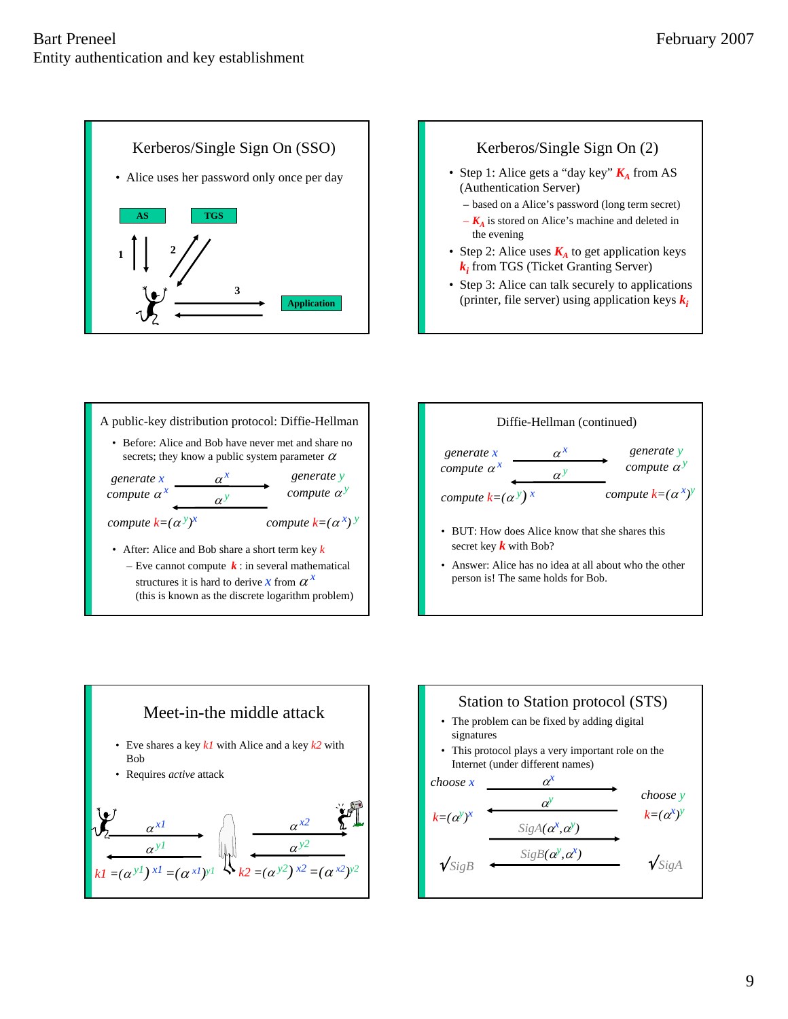









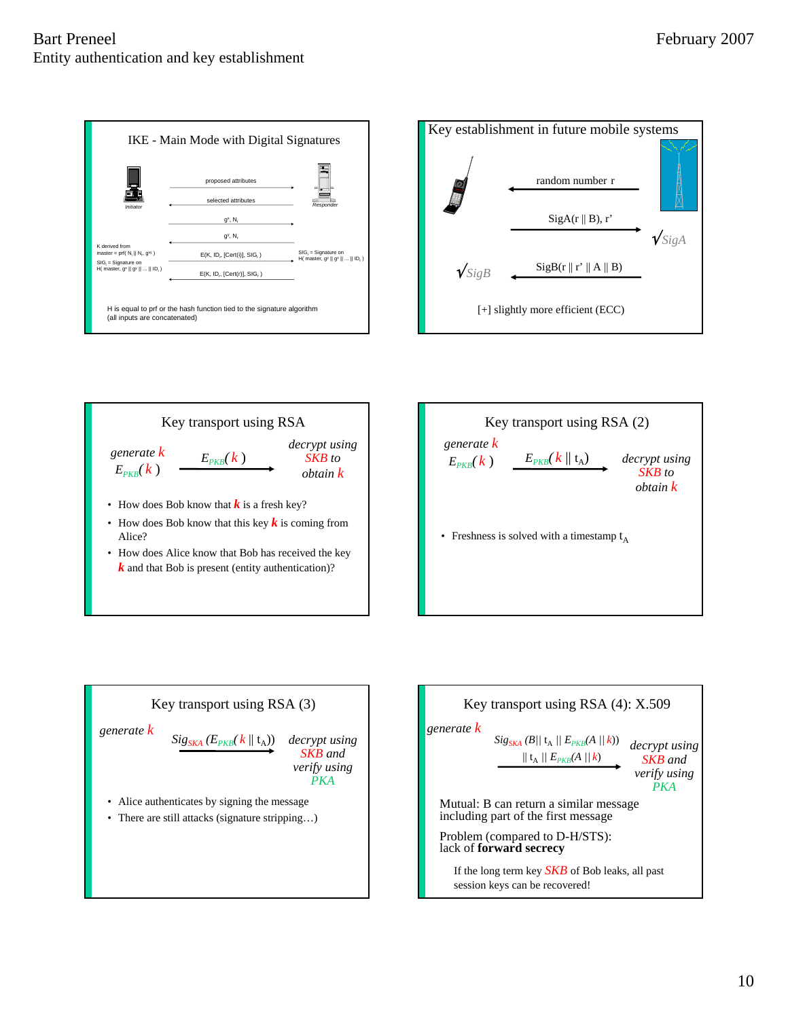#### Bart Preneel Entity authentication and key establishment







• How does Alice know that Bob has received the key  $k$  and that Bob is present (entity authentication)?